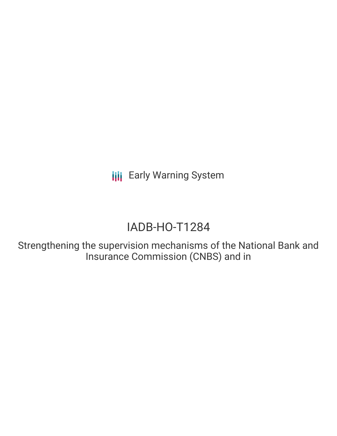## IADB-HO-T1284

Strengthening the supervision mechanisms of the National Bank and Insurance Commission (CNBS) and in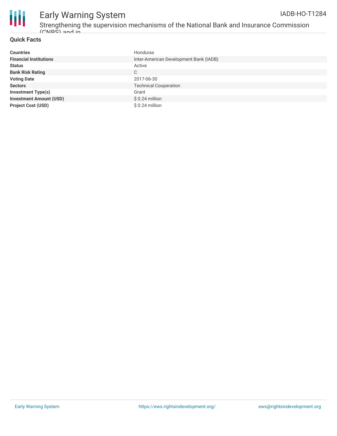

Strengthening the supervision mechanisms of the National Bank and Insurance Commission (CNBS) and in

#### **Quick Facts**

| <b>Countries</b>               | Honduras                               |
|--------------------------------|----------------------------------------|
| <b>Financial Institutions</b>  | Inter-American Development Bank (IADB) |
| <b>Status</b>                  | Active                                 |
| <b>Bank Risk Rating</b>        | C                                      |
| <b>Voting Date</b>             | 2017-06-30                             |
| <b>Sectors</b>                 | <b>Technical Cooperation</b>           |
| <b>Investment Type(s)</b>      | Grant                                  |
| <b>Investment Amount (USD)</b> | $$0.24$ million                        |
| <b>Project Cost (USD)</b>      | $$0.24$ million                        |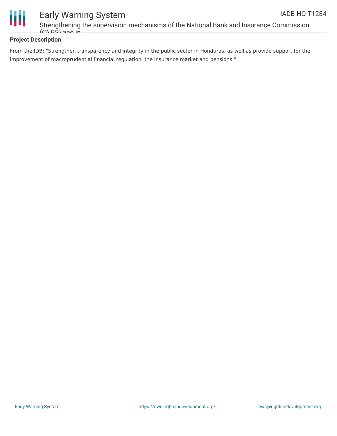

Strengthening the supervision mechanisms of the National Bank and Insurance Commission (CNBS) and in

#### **Project Description**

From the IDB: "Strengthen transparency and integrity in the public sector in Honduras, as well as provide support for the improvement of macroprudential financial regulation, the insurance market and pensions."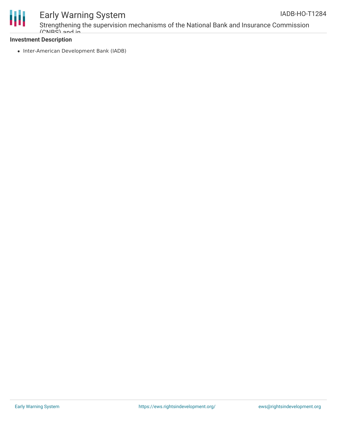

Strengthening the supervision mechanisms of the National Bank and Insurance Commission (CNBS) and in

#### **Investment Description**

• Inter-American Development Bank (IADB)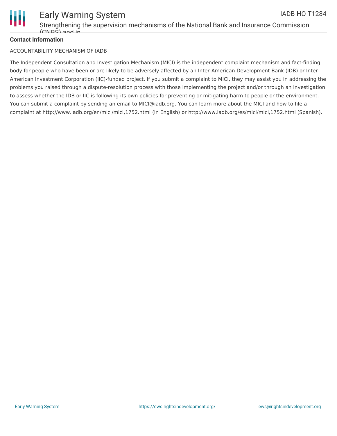

#### **Contact Information**

#### ACCOUNTABILITY MECHANISM OF IADB

The Independent Consultation and Investigation Mechanism (MICI) is the independent complaint mechanism and fact-finding body for people who have been or are likely to be adversely affected by an Inter-American Development Bank (IDB) or Inter-American Investment Corporation (IIC)-funded project. If you submit a complaint to MICI, they may assist you in addressing the problems you raised through a dispute-resolution process with those implementing the project and/or through an investigation to assess whether the IDB or IIC is following its own policies for preventing or mitigating harm to people or the environment. You can submit a complaint by sending an email to MICI@iadb.org. You can learn more about the MICI and how to file a complaint at http://www.iadb.org/en/mici/mici,1752.html (in English) or http://www.iadb.org/es/mici/mici,1752.html (Spanish).